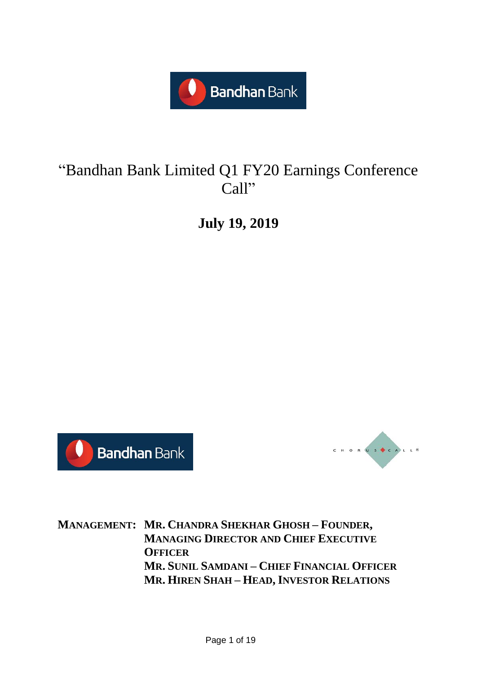

# "Bandhan Bank Limited Q1 FY20 Earnings Conference Call"

**July 19, 2019**





**MANAGEMENT: MR. CHANDRA SHEKHAR GHOSH – FOUNDER, MANAGING DIRECTOR AND CHIEF EXECUTIVE OFFICER MR. SUNIL SAMDANI – CHIEF FINANCIAL OFFICER MR. HIREN SHAH – HEAD, INVESTOR RELATIONS**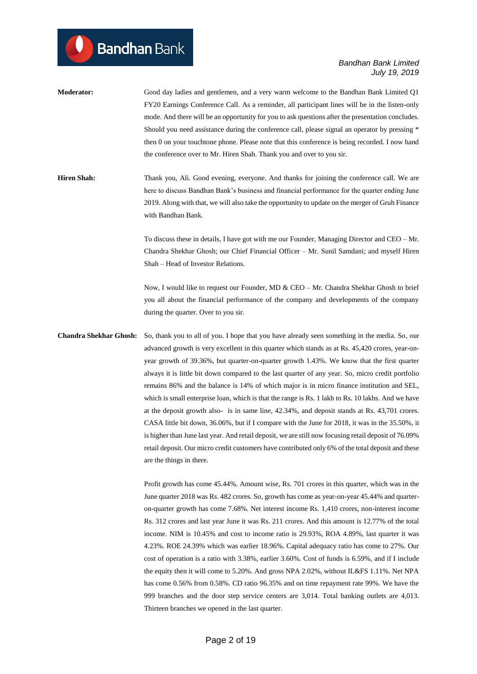- **Moderator:** Good day ladies and gentlemen, and a very warm welcome to the Bandhan Bank Limited Q1 FY20 Earnings Conference Call. As a reminder, all participant lines will be in the listen-only mode. And there will be an opportunity for you to ask questions after the presentation concludes. Should you need assistance during the conference call, please signal an operator by pressing \* then 0 on your touchtone phone. Please note that this conference is being recorded. I now hand the conference over to Mr. Hiren Shah. Thank you and over to you sir.
- **Hiren Shah:** Thank you, Ali. Good evening, everyone. And thanks for joining the conference call. We are here to discuss Bandhan Bank's business and financial performance for the quarter ending June 2019. Along with that, we will also take the opportunity to update on the merger of Gruh Finance with Bandhan Bank.

To discuss these in details, I have got with me our Founder, Managing Director and CEO – Mr. Chandra Shekhar Ghosh; our Chief Financial Officer – Mr. Sunil Samdani; and myself Hiren Shah – Head of Investor Relations.

Now, I would like to request our Founder, MD & CEO – Mr. Chandra Shekhar Ghosh to brief you all about the financial performance of the company and developments of the company during the quarter. Over to you sir.

**Chandra Shekhar Ghosh:** So, thank you to all of you. I hope that you have already seen something in the media. So, our advanced growth is very excellent in this quarter which stands as at Rs. 45,420 crores, year-onyear growth of 39.36%, but quarter-on-quarter growth 1.43%. We know that the first quarter always it is little bit down compared to the last quarter of any year. So, micro credit portfolio remains 86% and the balance is 14% of which major is in micro finance institution and SEL, which is small enterprise loan, which is that the range is Rs. 1 lakh to Rs. 10 lakhs. And we have at the deposit growth also- is in same line, 42.34%, and deposit stands at Rs. 43,701 crores. CASA little bit down, 36.06%, but if I compare with the June for 2018, it was in the 35.50%, it is higher than June last year. And retail deposit, we are still now focusing retail deposit of 76.09% retail deposit. Our micro credit customers have contributed only 6% of the total deposit and these are the things in there.

> Profit growth has come 45.44%. Amount wise, Rs. 701 crores in this quarter, which was in the June quarter 2018 was Rs. 482 crores. So, growth has come as year-on-year 45.44% and quarteron-quarter growth has come 7.68%. Net interest income Rs. 1,410 crores, non-interest income Rs. 312 crores and last year June it was Rs. 211 crores. And this amount is 12.77% of the total income. NIM is 10.45% and cost to income ratio is 29.93%, ROA 4.89%, last quarter it was 4.23%. ROE 24.39% which was earlier 18.96%. Capital adequacy ratio has come to 27%. Our cost of operation is a ratio with 3.38%, earlier 3.60%. Cost of funds is 6.59%, and if I include the equity then it will come to 5.20%. And gross NPA 2.02%, without IL&FS 1.11%. Net NPA has come 0.56% from 0.58%. CD ratio 96.35% and on time repayment rate 99%. We have the 999 branches and the door step service centers are 3,014. Total banking outlets are 4,013. Thirteen branches we opened in the last quarter.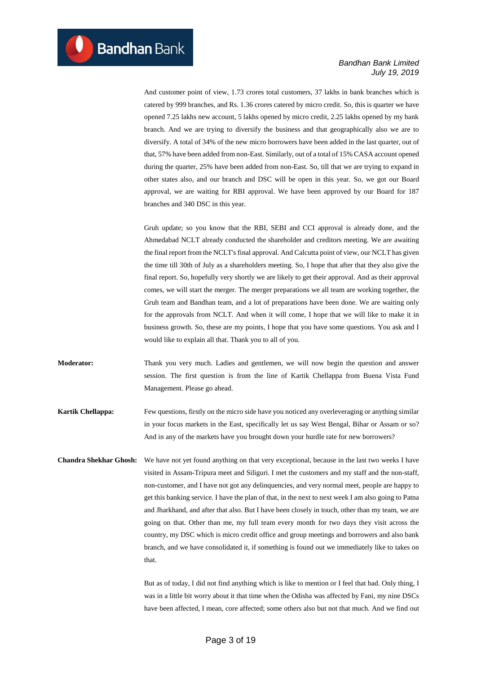And customer point of view, 1.73 crores total customers, 37 lakhs in bank branches which is catered by 999 branches, and Rs. 1.36 crores catered by micro credit. So, this is quarter we have opened 7.25 lakhs new account, 5 lakhs opened by micro credit, 2.25 lakhs opened by my bank branch. And we are trying to diversify the business and that geographically also we are to diversify. A total of 34% of the new micro borrowers have been added in the last quarter, out of that, 57% have been added from non-East. Similarly, out of a total of 15% CASA account opened during the quarter, 25% have been added from non-East. So, till that we are trying to expand in other states also, and our branch and DSC will be open in this year. So, we got our Board approval, we are waiting for RBI approval. We have been approved by our Board for 187 branches and 340 DSC in this year.

Gruh update; so you know that the RBI, SEBI and CCI approval is already done, and the Ahmedabad NCLT already conducted the shareholder and creditors meeting. We are awaiting the final report from the NCLT's final approval. And Calcutta point of view, our NCLT has given the time till 30th of July as a shareholders meeting. So, I hope that after that they also give the final report. So, hopefully very shortly we are likely to get their approval. And as their approval comes, we will start the merger. The merger preparations we all team are working together, the Gruh team and Bandhan team, and a lot of preparations have been done. We are waiting only for the approvals from NCLT. And when it will come, I hope that we will like to make it in business growth. So, these are my points, I hope that you have some questions. You ask and I would like to explain all that. Thank you to all of you.

**Moderator:** Thank you very much. Ladies and gentlemen, we will now begin the question and answer session. The first question is from the line of Kartik Chellappa from Buena Vista Fund Management. Please go ahead.

**Kartik Chellappa:** Few questions, firstly on the micro side have you noticed any overleveraging or anything similar in your focus markets in the East, specifically let us say West Bengal, Bihar or Assam or so? And in any of the markets have you brought down your hurdle rate for new borrowers?

**Chandra Shekhar Ghosh:** We have not yet found anything on that very exceptional, because in the last two weeks I have visited in Assam-Tripura meet and Siliguri. I met the customers and my staff and the non-staff, non-customer, and I have not got any delinquencies, and very normal meet, people are happy to get this banking service. I have the plan of that, in the next to next week I am also going to Patna and Jharkhand, and after that also. But I have been closely in touch, other than my team, we are going on that. Other than me, my full team every month for two days they visit across the country, my DSC which is micro credit office and group meetings and borrowers and also bank branch, and we have consolidated it, if something is found out we immediately like to takes on that.

> But as of today, I did not find anything which is like to mention or I feel that bad. Only thing, I was in a little bit worry about it that time when the Odisha was affected by Fani, my nine DSCs have been affected, I mean, core affected; some others also but not that much. And we find out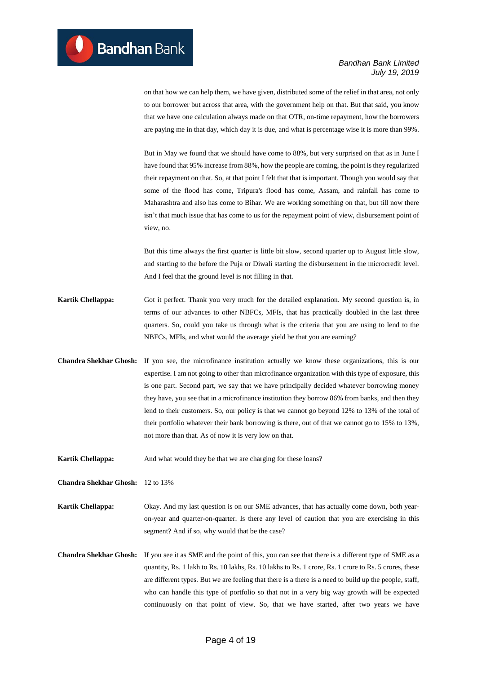on that how we can help them, we have given, distributed some of the relief in that area, not only to our borrower but across that area, with the government help on that. But that said, you know that we have one calculation always made on that OTR, on-time repayment, how the borrowers are paying me in that day, which day it is due, and what is percentage wise it is more than 99%.

But in May we found that we should have come to 88%, but very surprised on that as in June I have found that 95% increase from 88%, how the people are coming, the point is they regularized their repayment on that. So, at that point I felt that that is important. Though you would say that some of the flood has come, Tripura's flood has come, Assam, and rainfall has come to Maharashtra and also has come to Bihar. We are working something on that, but till now there isn't that much issue that has come to us for the repayment point of view, disbursement point of view, no.

But this time always the first quarter is little bit slow, second quarter up to August little slow, and starting to the before the Puja or Diwali starting the disbursement in the microcredit level. And I feel that the ground level is not filling in that.

- **Kartik Chellappa:** Got it perfect. Thank you very much for the detailed explanation. My second question is, in terms of our advances to other NBFCs, MFIs, that has practically doubled in the last three quarters. So, could you take us through what is the criteria that you are using to lend to the NBFCs, MFIs, and what would the average yield be that you are earning?
- **Chandra Shekhar Ghosh:** If you see, the microfinance institution actually we know these organizations, this is our expertise. I am not going to other than microfinance organization with this type of exposure, this is one part. Second part, we say that we have principally decided whatever borrowing money they have, you see that in a microfinance institution they borrow 86% from banks, and then they lend to their customers. So, our policy is that we cannot go beyond 12% to 13% of the total of their portfolio whatever their bank borrowing is there, out of that we cannot go to 15% to 13%, not more than that. As of now it is very low on that.
- **Kartik Chellappa:** And what would they be that we are charging for these loans?

**Chandra Shekhar Ghosh:** 12 to 13%

**Kartik Chellappa:** Okay. And my last question is on our SME advances, that has actually come down, both yearon-year and quarter-on-quarter. Is there any level of caution that you are exercising in this segment? And if so, why would that be the case?

**Chandra Shekhar Ghosh:** If you see it as SME and the point of this, you can see that there is a different type of SME as a quantity, Rs. 1 lakh to Rs. 10 lakhs, Rs. 10 lakhs to Rs. 1 crore, Rs. 1 crore to Rs. 5 crores, these are different types. But we are feeling that there is a there is a need to build up the people, staff, who can handle this type of portfolio so that not in a very big way growth will be expected continuously on that point of view. So, that we have started, after two years we have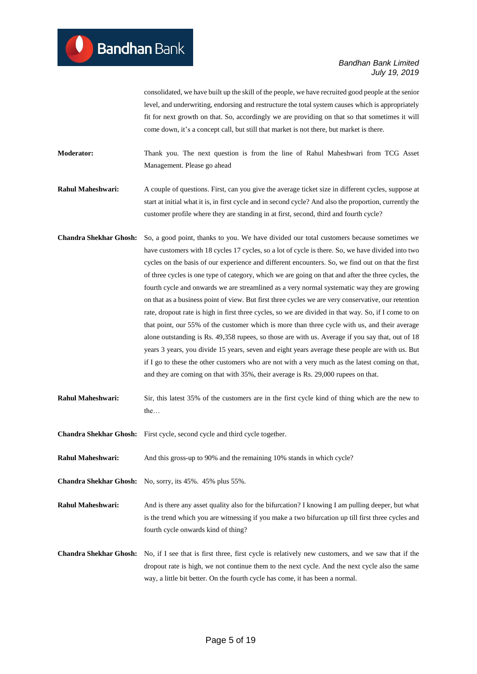consolidated, we have built up the skill of the people, we have recruited good people at the senior level, and underwriting, endorsing and restructure the total system causes which is appropriately fit for next growth on that. So, accordingly we are providing on that so that sometimes it will come down, it's a concept call, but still that market is not there, but market is there.

**Moderator:** Thank you. The next question is from the line of Rahul Maheshwari from TCG Asset Management. Please go ahead

**Rahul Maheshwari:** A couple of questions. First, can you give the average ticket size in different cycles, suppose at start at initial what it is, in first cycle and in second cycle? And also the proportion, currently the customer profile where they are standing in at first, second, third and fourth cycle?

- **Chandra Shekhar Ghosh:** So, a good point, thanks to you. We have divided our total customers because sometimes we have customers with 18 cycles 17 cycles, so a lot of cycle is there. So, we have divided into two cycles on the basis of our experience and different encounters. So, we find out on that the first of three cycles is one type of category, which we are going on that and after the three cycles, the fourth cycle and onwards we are streamlined as a very normal systematic way they are growing on that as a business point of view. But first three cycles we are very conservative, our retention rate, dropout rate is high in first three cycles, so we are divided in that way. So, if I come to on that point, our 55% of the customer which is more than three cycle with us, and their average alone outstanding is Rs. 49,358 rupees, so those are with us. Average if you say that, out of 18 years 3 years, you divide 15 years, seven and eight years average these people are with us. But if I go to these the other customers who are not with a very much as the latest coming on that, and they are coming on that with 35%, their average is Rs. 29,000 rupees on that.
- **Rahul Maheshwari:** Sir, this latest 35% of the customers are in the first cycle kind of thing which are the new to the…

**Chandra Shekhar Ghosh:** First cycle, second cycle and third cycle together.

**Rahul Maheshwari:** And this gross-up to 90% and the remaining 10% stands in which cycle?

**Chandra Shekhar Ghosh:** No, sorry, its 45%. 45% plus 55%.

**Rahul Maheshwari:** And is there any asset quality also for the bifurcation? I knowing I am pulling deeper, but what is the trend which you are witnessing if you make a two bifurcation up till first three cycles and fourth cycle onwards kind of thing?

**Chandra Shekhar Ghosh:** No, if I see that is first three, first cycle is relatively new customers, and we saw that if the dropout rate is high, we not continue them to the next cycle. And the next cycle also the same way, a little bit better. On the fourth cycle has come, it has been a normal.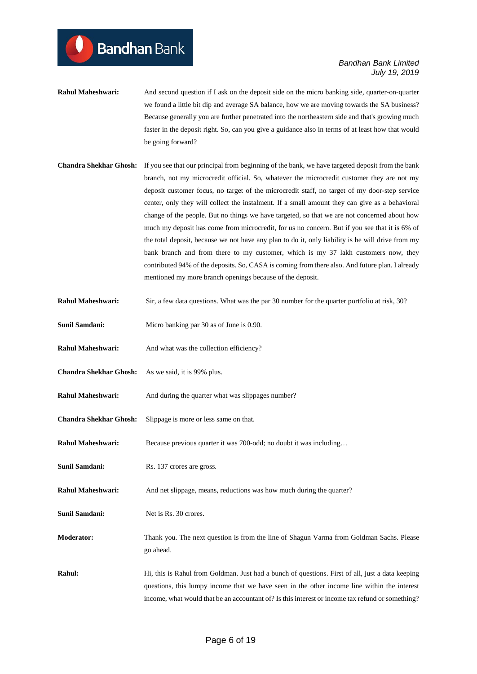- **Rahul Maheshwari:** And second question if I ask on the deposit side on the micro banking side, quarter-on-quarter we found a little bit dip and average SA balance, how we are moving towards the SA business? Because generally you are further penetrated into the northeastern side and that's growing much faster in the deposit right. So, can you give a guidance also in terms of at least how that would be going forward?
- **Chandra Shekhar Ghosh:** If you see that our principal from beginning of the bank, we have targeted deposit from the bank branch, not my microcredit official. So, whatever the microcredit customer they are not my deposit customer focus, no target of the microcredit staff, no target of my door-step service center, only they will collect the instalment. If a small amount they can give as a behavioral change of the people. But no things we have targeted, so that we are not concerned about how much my deposit has come from microcredit, for us no concern. But if you see that it is 6% of the total deposit, because we not have any plan to do it, only liability is he will drive from my bank branch and from there to my customer, which is my 37 lakh customers now, they contributed 94% of the deposits. So, CASA is coming from there also. And future plan. I already mentioned my more branch openings because of the deposit.
- **Rahul Maheshwari:** Sir, a few data questions. What was the par 30 number for the quarter portfolio at risk, 30?
- **Sunil Samdani:** Micro banking par 30 as of June is 0.90.
- **Rahul Maheshwari:** And what was the collection efficiency?
- **Chandra Shekhar Ghosh:** As we said, it is 99% plus.

**Bandhan** Bank

- **Rahul Maheshwari:** And during the quarter what was slippages number?
- **Chandra Shekhar Ghosh:** Slippage is more or less same on that.
- **Rahul Maheshwari:** Because previous quarter it was 700-odd; no doubt it was including...
- **Sunil Samdani:** Rs. 137 crores are gross.
- **Rahul Maheshwari:** And net slippage, means, reductions was how much during the quarter?
- **Sunil Samdani:** Net is Rs. 30 crores.
- **Moderator:** Thank you. The next question is from the line of Shagun Varma from Goldman Sachs. Please go ahead.
- Rahul: Hi, this is Rahul from Goldman. Just had a bunch of questions. First of all, just a data keeping questions, this lumpy income that we have seen in the other income line within the interest income, what would that be an accountant of? Is this interest or income tax refund or something?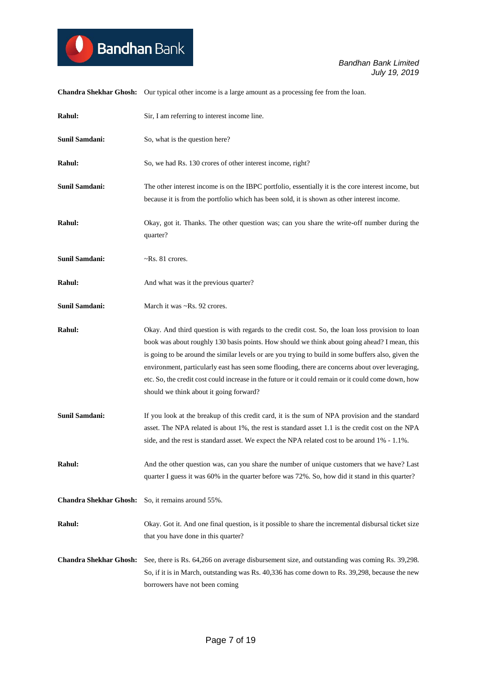

**Chandra Shekhar Ghosh:** Our typical other income is a large amount as a processing fee from the loan.

| Rahul:                        | Sir, I am referring to interest income line.                                                                                                                                                                                                                                                                                                                                                                                                                                                                                                                  |
|-------------------------------|---------------------------------------------------------------------------------------------------------------------------------------------------------------------------------------------------------------------------------------------------------------------------------------------------------------------------------------------------------------------------------------------------------------------------------------------------------------------------------------------------------------------------------------------------------------|
| <b>Sunil Samdani:</b>         | So, what is the question here?                                                                                                                                                                                                                                                                                                                                                                                                                                                                                                                                |
| Rahul:                        | So, we had Rs. 130 crores of other interest income, right?                                                                                                                                                                                                                                                                                                                                                                                                                                                                                                    |
| <b>Sunil Samdani:</b>         | The other interest income is on the IBPC portfolio, essentially it is the core interest income, but<br>because it is from the portfolio which has been sold, it is shown as other interest income.                                                                                                                                                                                                                                                                                                                                                            |
| Rahul:                        | Okay, got it. Thanks. The other question was; can you share the write-off number during the<br>quarter?                                                                                                                                                                                                                                                                                                                                                                                                                                                       |
| <b>Sunil Samdani:</b>         | $\neg$ Rs. 81 crores.                                                                                                                                                                                                                                                                                                                                                                                                                                                                                                                                         |
| Rahul:                        | And what was it the previous quarter?                                                                                                                                                                                                                                                                                                                                                                                                                                                                                                                         |
| Sunil Samdani:                | March it was ~Rs. 92 crores.                                                                                                                                                                                                                                                                                                                                                                                                                                                                                                                                  |
| Rahul:                        | Okay. And third question is with regards to the credit cost. So, the loan loss provision to loan<br>book was about roughly 130 basis points. How should we think about going ahead? I mean, this<br>is going to be around the similar levels or are you trying to build in some buffers also, given the<br>environment, particularly east has seen some flooding, there are concerns about over leveraging,<br>etc. So, the credit cost could increase in the future or it could remain or it could come down, how<br>should we think about it going forward? |
| <b>Sunil Samdani:</b>         | If you look at the breakup of this credit card, it is the sum of NPA provision and the standard<br>asset. The NPA related is about 1%, the rest is standard asset 1.1 is the credit cost on the NPA<br>side, and the rest is standard asset. We expect the NPA related cost to be around 1% - 1.1%.                                                                                                                                                                                                                                                           |
| <b>Rahul:</b>                 | And the other question was, can you share the number of unique customers that we have? Last<br>quarter I guess it was 60% in the quarter before was 72%. So, how did it stand in this quarter?                                                                                                                                                                                                                                                                                                                                                                |
| <b>Chandra Shekhar Ghosh:</b> | So, it remains around 55%.                                                                                                                                                                                                                                                                                                                                                                                                                                                                                                                                    |
| Rahul:                        | Okay. Got it. And one final question, is it possible to share the incremental disbursal ticket size<br>that you have done in this quarter?                                                                                                                                                                                                                                                                                                                                                                                                                    |
| <b>Chandra Shekhar Ghosh:</b> | See, there is Rs. 64,266 on average disbursement size, and outstanding was coming Rs. 39,298.<br>So, if it is in March, outstanding was Rs. 40,336 has come down to Rs. 39,298, because the new<br>borrowers have not been coming                                                                                                                                                                                                                                                                                                                             |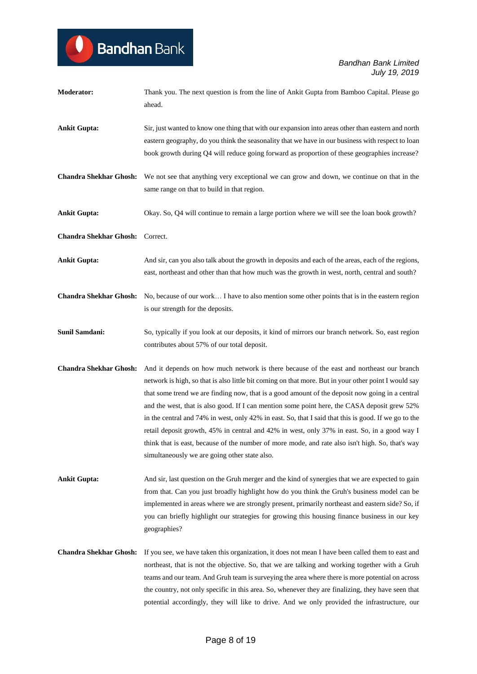| Moderator:                    | Thank you. The next question is from the line of Ankit Gupta from Bamboo Capital. Please go<br>ahead.                                                                                                                                                                                                                                                                                                                                                                                                                                                                                                                                                                                                                                                            |
|-------------------------------|------------------------------------------------------------------------------------------------------------------------------------------------------------------------------------------------------------------------------------------------------------------------------------------------------------------------------------------------------------------------------------------------------------------------------------------------------------------------------------------------------------------------------------------------------------------------------------------------------------------------------------------------------------------------------------------------------------------------------------------------------------------|
| <b>Ankit Gupta:</b>           | Sir, just wanted to know one thing that with our expansion into areas other than eastern and north<br>eastern geography, do you think the seasonality that we have in our business with respect to loan<br>book growth during Q4 will reduce going forward as proportion of these geographies increase?                                                                                                                                                                                                                                                                                                                                                                                                                                                          |
| <b>Chandra Shekhar Ghosh:</b> | We not see that anything very exceptional we can grow and down, we continue on that in the<br>same range on that to build in that region.                                                                                                                                                                                                                                                                                                                                                                                                                                                                                                                                                                                                                        |
| <b>Ankit Gupta:</b>           | Okay. So, Q4 will continue to remain a large portion where we will see the loan book growth?                                                                                                                                                                                                                                                                                                                                                                                                                                                                                                                                                                                                                                                                     |
| <b>Chandra Shekhar Ghosh:</b> | Correct.                                                                                                                                                                                                                                                                                                                                                                                                                                                                                                                                                                                                                                                                                                                                                         |
| <b>Ankit Gupta:</b>           | And sir, can you also talk about the growth in deposits and each of the areas, each of the regions,<br>east, northeast and other than that how much was the growth in west, north, central and south?                                                                                                                                                                                                                                                                                                                                                                                                                                                                                                                                                            |
| <b>Chandra Shekhar Ghosh:</b> | No, because of our work I have to also mention some other points that is in the eastern region<br>is our strength for the deposits.                                                                                                                                                                                                                                                                                                                                                                                                                                                                                                                                                                                                                              |
| Sunil Samdani:                | So, typically if you look at our deposits, it kind of mirrors our branch network. So, east region<br>contributes about 57% of our total deposit.                                                                                                                                                                                                                                                                                                                                                                                                                                                                                                                                                                                                                 |
| <b>Chandra Shekhar Ghosh:</b> | And it depends on how much network is there because of the east and northeast our branch<br>network is high, so that is also little bit coming on that more. But in your other point I would say<br>that some trend we are finding now, that is a good amount of the deposit now going in a central<br>and the west, that is also good. If I can mention some point here, the CASA deposit grew 52%<br>in the central and 74% in west, only 42% in east. So, that I said that this is good. If we go to the<br>retail deposit growth, 45% in central and 42% in west, only 37% in east. So, in a good way I<br>think that is east, because of the number of more mode, and rate also isn't high. So, that's way<br>simultaneously we are going other state also. |
| <b>Ankit Gupta:</b>           | And sir, last question on the Gruh merger and the kind of synergies that we are expected to gain<br>from that. Can you just broadly highlight how do you think the Gruh's business model can be<br>implemented in areas where we are strongly present, primarily northeast and eastern side? So, if<br>you can briefly highlight our strategies for growing this housing finance business in our key<br>geographies?                                                                                                                                                                                                                                                                                                                                             |
| <b>Chandra Shekhar Ghosh:</b> | If you see, we have taken this organization, it does not mean I have been called them to east and<br>northeast, that is not the objective. So, that we are talking and working together with a Gruh<br>teams and our team. And Gruh team is surveying the area where there is more potential on across<br>the country, not only specific in this area. So, whenever they are finalizing, they have seen that<br>potential accordingly, they will like to drive. And we only provided the infrastructure, our                                                                                                                                                                                                                                                     |

**Bandhan** Bank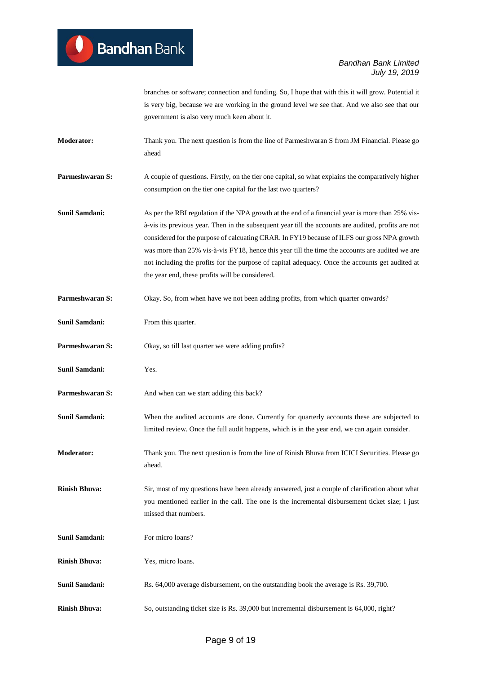branches or software; connection and funding. So, I hope that with this it will grow. Potential it is very big, because we are working in the ground level we see that. And we also see that our government is also very much keen about it.

**Moderator:** Thank you. The next question is from the line of Parmeshwaran S from JM Financial. Please go ahead

**Parmeshwaran S:** A couple of questions. Firstly, on the tier one capital, so what explains the comparatively higher consumption on the tier one capital for the last two quarters?

**Sunil Samdani:** As per the RBI regulation if the NPA growth at the end of a financial year is more than 25% visà-vis its previous year. Then in the subsequent year till the accounts are audited, profits are not considered for the purpose of calcuating CRAR. In FY19 because of ILFS our gross NPA growth was more than 25% vis-à-vis FY18, hence this year till the time the accounts are audited we are not including the profits for the purpose of capital adequacy. Once the accounts get audited at the year end, these profits will be considered.

**Parmeshwaran S:** Okay. So, from when have we not been adding profits, from which quarter onwards?

**Sunil Samdani:** From this quarter.

**Parmeshwaran S:** Okay, so till last quarter we were adding profits?

**Sunil Samdani:** Yes.

**Parmeshwaran S:** And when can we start adding this back?

**Sunil Samdani:** When the audited accounts are done. Currently for quarterly accounts these are subjected to limited review. Once the full audit happens, which is in the year end, we can again consider.

**Moderator:** Thank you. The next question is from the line of Rinish Bhuva from ICICI Securities. Please go ahead.

**Rinish Bhuva:** Sir, most of my questions have been already answered, just a couple of clarification about what you mentioned earlier in the call. The one is the incremental disbursement ticket size; I just missed that numbers.

**Sunil Samdani:** For micro loans?

**Rinish Bhuva:** Yes, micro loans.

**Sunil Samdani:** Rs. 64,000 average disbursement, on the outstanding book the average is Rs. 39,700.

**Rinish Bhuva:** So, outstanding ticket size is Rs. 39,000 but incremental disbursement is 64,000, right?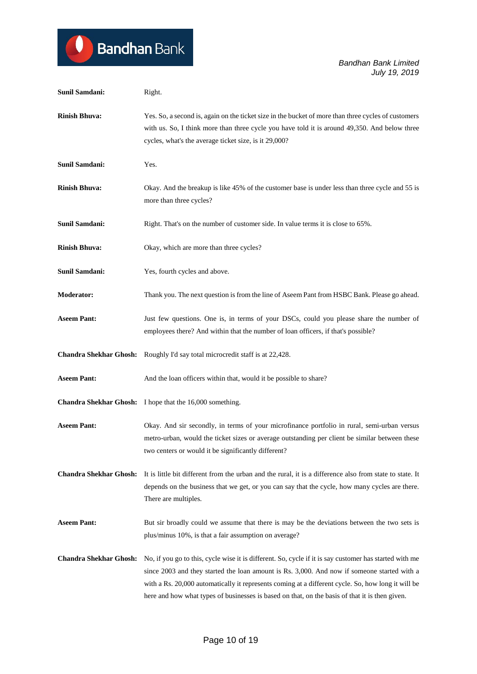| <b>Sunil Samdani:</b>         | Right.                                                                                                                                                                                                                                                                                                                                                                                                        |
|-------------------------------|---------------------------------------------------------------------------------------------------------------------------------------------------------------------------------------------------------------------------------------------------------------------------------------------------------------------------------------------------------------------------------------------------------------|
| <b>Rinish Bhuva:</b>          | Yes. So, a second is, again on the ticket size in the bucket of more than three cycles of customers<br>with us. So, I think more than three cycle you have told it is around 49,350. And below three<br>cycles, what's the average ticket size, is it 29,000?                                                                                                                                                 |
| <b>Sunil Samdani:</b>         | Yes.                                                                                                                                                                                                                                                                                                                                                                                                          |
| <b>Rinish Bhuva:</b>          | Okay. And the breakup is like 45% of the customer base is under less than three cycle and 55 is<br>more than three cycles?                                                                                                                                                                                                                                                                                    |
| <b>Sunil Samdani:</b>         | Right. That's on the number of customer side. In value terms it is close to 65%.                                                                                                                                                                                                                                                                                                                              |
| <b>Rinish Bhuva:</b>          | Okay, which are more than three cycles?                                                                                                                                                                                                                                                                                                                                                                       |
| <b>Sunil Samdani:</b>         | Yes, fourth cycles and above.                                                                                                                                                                                                                                                                                                                                                                                 |
| <b>Moderator:</b>             | Thank you. The next question is from the line of Aseem Pant from HSBC Bank. Please go ahead.                                                                                                                                                                                                                                                                                                                  |
| <b>Aseem Pant:</b>            | Just few questions. One is, in terms of your DSCs, could you please share the number of<br>employees there? And within that the number of loan officers, if that's possible?                                                                                                                                                                                                                                  |
| <b>Chandra Shekhar Ghosh:</b> | Roughly I'd say total microcredit staff is at 22,428.                                                                                                                                                                                                                                                                                                                                                         |
| <b>Aseem Pant:</b>            | And the loan officers within that, would it be possible to share?                                                                                                                                                                                                                                                                                                                                             |
| <b>Chandra Shekhar Ghosh:</b> | I hope that the 16,000 something.                                                                                                                                                                                                                                                                                                                                                                             |
| <b>Aseem Pant:</b>            | Okay. And sir secondly, in terms of your microfinance portfolio in rural, semi-urban versus<br>metro-urban, would the ticket sizes or average outstanding per client be similar between these<br>two centers or would it be significantly different?                                                                                                                                                          |
| <b>Chandra Shekhar Ghosh:</b> | It is little bit different from the urban and the rural, it is a difference also from state to state. It<br>depends on the business that we get, or you can say that the cycle, how many cycles are there.<br>There are multiples.                                                                                                                                                                            |
| <b>Aseem Pant:</b>            | But sir broadly could we assume that there is may be the deviations between the two sets is<br>plus/minus 10%, is that a fair assumption on average?                                                                                                                                                                                                                                                          |
| <b>Chandra Shekhar Ghosh:</b> | No, if you go to this, cycle wise it is different. So, cycle if it is say customer has started with me<br>since 2003 and they started the loan amount is Rs. 3,000. And now if someone started with a<br>with a Rs. 20,000 automatically it represents coming at a different cycle. So, how long it will be<br>here and how what types of businesses is based on that, on the basis of that it is then given. |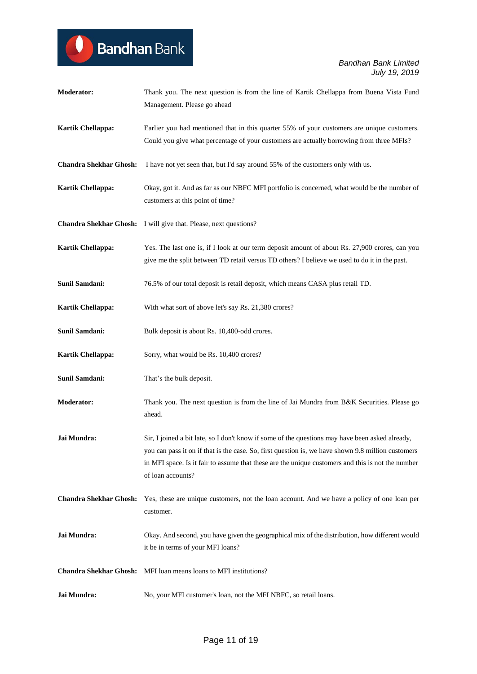| <b>Moderator:</b>             | Thank you. The next question is from the line of Kartik Chellappa from Buena Vista Fund<br>Management. Please go ahead                                                                                                                                                                                                          |
|-------------------------------|---------------------------------------------------------------------------------------------------------------------------------------------------------------------------------------------------------------------------------------------------------------------------------------------------------------------------------|
| Kartik Chellappa:             | Earlier you had mentioned that in this quarter 55% of your customers are unique customers.<br>Could you give what percentage of your customers are actually borrowing from three MFIs?                                                                                                                                          |
| <b>Chandra Shekhar Ghosh:</b> | I have not yet seen that, but I'd say around 55% of the customers only with us.                                                                                                                                                                                                                                                 |
| Kartik Chellappa:             | Okay, got it. And as far as our NBFC MFI portfolio is concerned, what would be the number of<br>customers at this point of time?                                                                                                                                                                                                |
|                               | Chandra Shekhar Ghosh: I will give that. Please, next questions?                                                                                                                                                                                                                                                                |
| Kartik Chellappa:             | Yes. The last one is, if I look at our term deposit amount of about Rs. 27,900 crores, can you<br>give me the split between TD retail versus TD others? I believe we used to do it in the past.                                                                                                                                 |
| <b>Sunil Samdani:</b>         | 76.5% of our total deposit is retail deposit, which means CASA plus retail TD.                                                                                                                                                                                                                                                  |
| Kartik Chellappa:             | With what sort of above let's say Rs. 21,380 crores?                                                                                                                                                                                                                                                                            |
| <b>Sunil Samdani:</b>         | Bulk deposit is about Rs. 10,400-odd crores.                                                                                                                                                                                                                                                                                    |
| <b>Kartik Chellappa:</b>      | Sorry, what would be Rs. 10,400 crores?                                                                                                                                                                                                                                                                                         |
| <b>Sunil Samdani:</b>         | That's the bulk deposit.                                                                                                                                                                                                                                                                                                        |
| <b>Moderator:</b>             | Thank you. The next question is from the line of Jai Mundra from B&K Securities. Please go<br>ahead.                                                                                                                                                                                                                            |
| Jai Mundra:                   | Sir, I joined a bit late, so I don't know if some of the questions may have been asked already,<br>you can pass it on if that is the case. So, first question is, we have shown 9.8 million customers<br>in MFI space. Is it fair to assume that these are the unique customers and this is not the number<br>of loan accounts? |
| <b>Chandra Shekhar Ghosh:</b> | Yes, these are unique customers, not the loan account. And we have a policy of one loan per<br>customer.                                                                                                                                                                                                                        |
| Jai Mundra:                   | Okay. And second, you have given the geographical mix of the distribution, how different would<br>it be in terms of your MFI loans?                                                                                                                                                                                             |
|                               | <b>Chandra Shekhar Ghosh:</b> MFI loan means loans to MFI institutions?                                                                                                                                                                                                                                                         |
| Jai Mundra:                   | No, your MFI customer's loan, not the MFI NBFC, so retail loans.                                                                                                                                                                                                                                                                |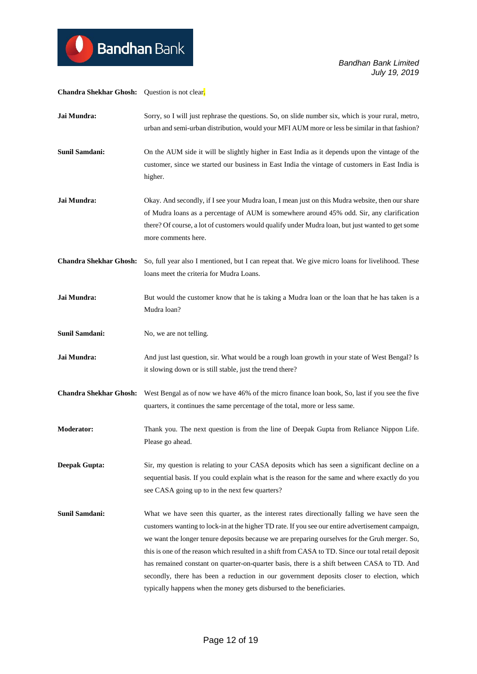**Chandra Shekhar Ghosh:** Question is not clear. **Jai Mundra:** Sorry, so I will just rephrase the questions. So, on slide number six, which is your rural, metro, urban and semi-urban distribution, would your MFI AUM more or less be similar in that fashion? **Sunil Samdani:** On the AUM side it will be slightly higher in East India as it depends upon the vintage of the customer, since we started our business in East India the vintage of customers in East India is higher. **Jai Mundra:** Okay. And secondly, if I see your Mudra loan, I mean just on this Mudra website, then our share of Mudra loans as a percentage of AUM is somewhere around 45% odd. Sir, any clarification there? Of course, a lot of customers would qualify under Mudra loan, but just wanted to get some more comments here. **Chandra Shekhar Ghosh:** So, full year also I mentioned, but I can repeat that. We give micro loans for livelihood. These loans meet the criteria for Mudra Loans. **Jai Mundra:** But would the customer know that he is taking a Mudra loan or the loan that he has taken is a Mudra loan? **Sunil Samdani:** No, we are not telling. **Jai Mundra:** And just last question, sir. What would be a rough loan growth in your state of West Bengal? Is it slowing down or is still stable, just the trend there? **Chandra Shekhar Ghosh:** West Bengal as of now we have 46% of the micro finance loan book, So, last if you see the five quarters, it continues the same percentage of the total, more or less same. **Moderator:** Thank you. The next question is from the line of Deepak Gupta from Reliance Nippon Life. Please go ahead. **Deepak Gupta:** Sir, my question is relating to your CASA deposits which has seen a significant decline on a sequential basis. If you could explain what is the reason for the same and where exactly do you see CASA going up to in the next few quarters? **Sunil Samdani:** What we have seen this quarter, as the interest rates directionally falling we have seen the customers wanting to lock-in at the higher TD rate. If you see our entire advertisement campaign, we want the longer tenure deposits because we are preparing ourselves for the Gruh merger. So, this is one of the reason which resulted in a shift from CASA to TD. Since our total retail deposit has remained constant on quarter-on-quarter basis, there is a shift between CASA to TD. And secondly, there has been a reduction in our government deposits closer to election, which typically happens when the money gets disbursed to the beneficiaries.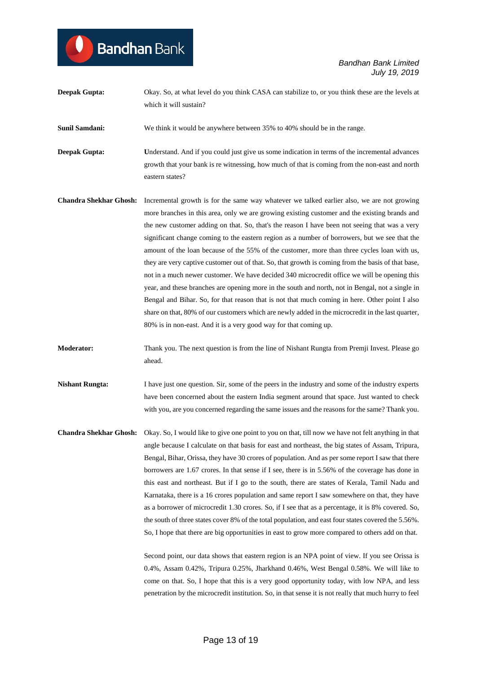**Deepak Gupta:** Okay. So, at what level do you think CASA can stabilize to, or you think these are the levels at which it will sustain?

**Sunil Samdani:** We think it would be anywhere between 35% to 40% should be in the range.

**Bandhan** Bank

**Deepak Gupta: Understand.** And if you could just give us some indication in terms of the incremental advances growth that your bank is re witnessing, how much of that is coming from the non-east and north eastern states?

- **Chandra Shekhar Ghosh:** Incremental growth is for the same way whatever we talked earlier also, we are not growing more branches in this area, only we are growing existing customer and the existing brands and the new customer adding on that. So, that's the reason I have been not seeing that was a very significant change coming to the eastern region as a number of borrowers, but we see that the amount of the loan because of the 55% of the customer, more than three cycles loan with us, they are very captive customer out of that. So, that growth is coming from the basis of that base, not in a much newer customer. We have decided 340 microcredit office we will be opening this year, and these branches are opening more in the south and north, not in Bengal, not a single in Bengal and Bihar. So, for that reason that is not that much coming in here. Other point I also share on that, 80% of our customers which are newly added in the microcredit in the last quarter, 80% is in non-east. And it is a very good way for that coming up.
- **Moderator:** Thank you. The next question is from the line of Nishant Rungta from Premji Invest. Please go ahead.
- **Nishant Rungta:** I have just one question. Sir, some of the peers in the industry and some of the industry experts have been concerned about the eastern India segment around that space. Just wanted to check with you, are you concerned regarding the same issues and the reasons for the same? Thank you.
- **Chandra Shekhar Ghosh:** Okay. So, I would like to give one point to you on that, till now we have not felt anything in that angle because I calculate on that basis for east and northeast, the big states of Assam, Tripura, Bengal, Bihar, Orissa, they have 30 crores of population. And as per some report I saw that there borrowers are 1.67 crores. In that sense if I see, there is in 5.56% of the coverage has done in this east and northeast. But if I go to the south, there are states of Kerala, Tamil Nadu and Karnataka, there is a 16 crores population and same report I saw somewhere on that, they have as a borrower of microcredit 1.30 crores. So, if I see that as a percentage, it is 8% covered. So, the south of three states cover 8% of the total population, and east four states covered the 5.56%. So, I hope that there are big opportunities in east to grow more compared to others add on that.

Second point, our data shows that eastern region is an NPA point of view. If you see Orissa is 0.4%, Assam 0.42%, Tripura 0.25%, Jharkhand 0.46%, West Bengal 0.58%. We will like to come on that. So, I hope that this is a very good opportunity today, with low NPA, and less penetration by the microcredit institution. So, in that sense it is not really that much hurry to feel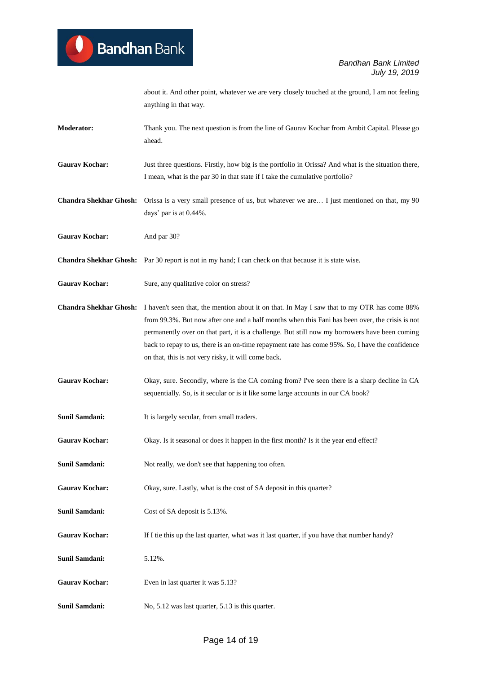about it. And other point, whatever we are very closely touched at the ground, I am not feeling anything in that way.

- **Moderator:** Thank you. The next question is from the line of Gaurav Kochar from Ambit Capital. Please go ahead.
- **Gaurav Kochar:** Just three questions. Firstly, how big is the portfolio in Orissa? And what is the situation there, I mean, what is the par 30 in that state if I take the cumulative portfolio?
- **Chandra Shekhar Ghosh:** Orissa is a very small presence of us, but whatever we are… I just mentioned on that, my 90 days' par is at 0.44%.
- Gaurav Kochar: And par 30?
- **Chandra Shekhar Ghosh:** Par 30 report is not in my hand; I can check on that because it is state wise.
- Gaurav Kochar: Sure, any qualitative color on stress?
- **Chandra Shekhar Ghosh:** I haven't seen that, the mention about it on that. In May I saw that to my OTR has come 88% from 99.3%. But now after one and a half months when this Fani has been over, the crisis is not permanently over on that part, it is a challenge. But still now my borrowers have been coming back to repay to us, there is an on-time repayment rate has come 95%. So, I have the confidence on that, this is not very risky, it will come back.
- Gaurav Kochar: Okay, sure. Secondly, where is the CA coming from? I've seen there is a sharp decline in CA sequentially. So, is it secular or is it like some large accounts in our CA book?
- **Sunil Samdani:** It is largely secular, from small traders.
- Gaurav Kochar: Okay. Is it seasonal or does it happen in the first month? Is it the year end effect?
- **Sunil Samdani:** Not really, we don't see that happening too often.
- Gaurav Kochar: Okay, sure. Lastly, what is the cost of SA deposit in this quarter?
- **Sunil Samdani:** Cost of SA deposit is 5.13%.
- Gaurav Kochar: If I tie this up the last quarter, what was it last quarter, if you have that number handy?
- **Sunil Samdani:** 5.12%.
- Gaurav Kochar: Even in last quarter it was 5.13?
- **Sunil Samdani:** No, 5.12 was last quarter, 5.13 is this quarter.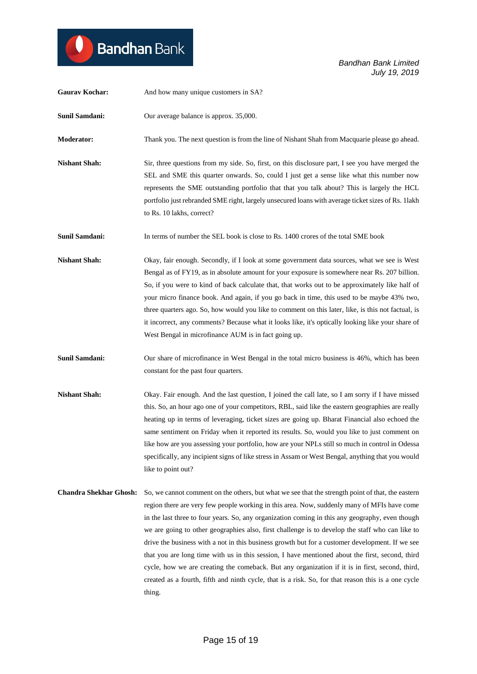| <b>Gaurav Kochar:</b>         | And how many unique customers in SA?                                                                                                                                                                                                                                                                                                                                                                                                                                                                                                                                                                                                                                                                                                                                                                                             |
|-------------------------------|----------------------------------------------------------------------------------------------------------------------------------------------------------------------------------------------------------------------------------------------------------------------------------------------------------------------------------------------------------------------------------------------------------------------------------------------------------------------------------------------------------------------------------------------------------------------------------------------------------------------------------------------------------------------------------------------------------------------------------------------------------------------------------------------------------------------------------|
| <b>Sunil Samdani:</b>         | Our average balance is approx. 35,000.                                                                                                                                                                                                                                                                                                                                                                                                                                                                                                                                                                                                                                                                                                                                                                                           |
| <b>Moderator:</b>             | Thank you. The next question is from the line of Nishant Shah from Macquarie please go ahead.                                                                                                                                                                                                                                                                                                                                                                                                                                                                                                                                                                                                                                                                                                                                    |
| <b>Nishant Shah:</b>          | Sir, three questions from my side. So, first, on this disclosure part, I see you have merged the<br>SEL and SME this quarter onwards. So, could I just get a sense like what this number now<br>represents the SME outstanding portfolio that that you talk about? This is largely the HCL<br>portfolio just rebranded SME right, largely unsecured loans with average ticket sizes of Rs. 1lakh<br>to Rs. 10 lakhs, correct?                                                                                                                                                                                                                                                                                                                                                                                                    |
| <b>Sunil Samdani:</b>         | In terms of number the SEL book is close to Rs. 1400 crores of the total SME book                                                                                                                                                                                                                                                                                                                                                                                                                                                                                                                                                                                                                                                                                                                                                |
| <b>Nishant Shah:</b>          | Okay, fair enough. Secondly, if I look at some government data sources, what we see is West<br>Bengal as of FY19, as in absolute amount for your exposure is somewhere near Rs. 207 billion.<br>So, if you were to kind of back calculate that, that works out to be approximately like half of<br>your micro finance book. And again, if you go back in time, this used to be maybe 43% two,<br>three quarters ago. So, how would you like to comment on this later, like, is this not factual, is<br>it incorrect, any comments? Because what it looks like, it's optically looking like your share of<br>West Bengal in microfinance AUM is in fact going up.                                                                                                                                                                 |
| <b>Sunil Samdani:</b>         | Our share of microfinance in West Bengal in the total micro business is 46%, which has been<br>constant for the past four quarters.                                                                                                                                                                                                                                                                                                                                                                                                                                                                                                                                                                                                                                                                                              |
| <b>Nishant Shah:</b>          | Okay. Fair enough. And the last question, I joined the call late, so I am sorry if I have missed<br>this. So, an hour ago one of your competitors, RBL, said like the eastern geographies are really<br>heating up in terms of leveraging, ticket sizes are going up. Bharat Financial also echoed the<br>same sentiment on Friday when it reported its results. So, would you like to just comment on<br>like how are you assessing your portfolio, how are your NPLs still so much in control in Odessa<br>specifically, any incipient signs of like stress in Assam or West Bengal, anything that you would<br>like to point out?                                                                                                                                                                                             |
| <b>Chandra Shekhar Ghosh:</b> | So, we cannot comment on the others, but what we see that the strength point of that, the eastern<br>region there are very few people working in this area. Now, suddenly many of MFIs have come<br>in the last three to four years. So, any organization coming in this any geography, even though<br>we are going to other geographies also, first challenge is to develop the staff who can like to<br>drive the business with a not in this business growth but for a customer development. If we see<br>that you are long time with us in this session, I have mentioned about the first, second, third<br>cycle, how we are creating the comeback. But any organization if it is in first, second, third,<br>created as a fourth, fifth and ninth cycle, that is a risk. So, for that reason this is a one cycle<br>thing. |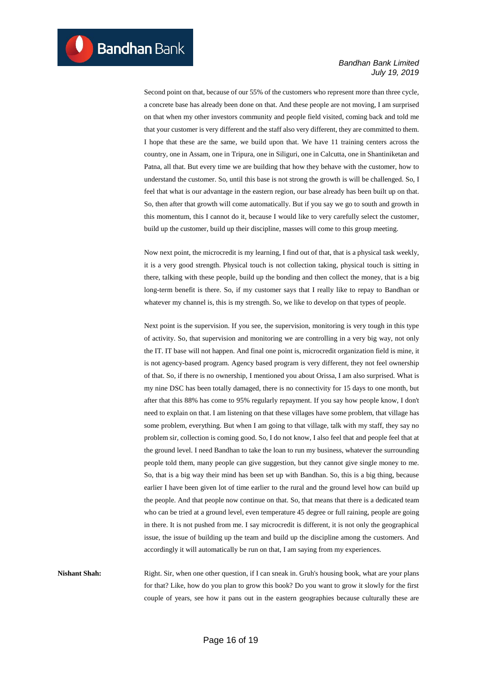Second point on that, because of our 55% of the customers who represent more than three cycle, a concrete base has already been done on that. And these people are not moving, I am surprised on that when my other investors community and people field visited, coming back and told me that your customer is very different and the staff also very different, they are committed to them. I hope that these are the same, we build upon that. We have 11 training centers across the country, one in Assam, one in Tripura, one in Siliguri, one in Calcutta, one in Shantiniketan and Patna, all that. But every time we are building that how they behave with the customer, how to understand the customer. So, until this base is not strong the growth is will be challenged. So, I feel that what is our advantage in the eastern region, our base already has been built up on that. So, then after that growth will come automatically. But if you say we go to south and growth in this momentum, this I cannot do it, because I would like to very carefully select the customer, build up the customer, build up their discipline, masses will come to this group meeting.

Now next point, the microcredit is my learning, I find out of that, that is a physical task weekly, it is a very good strength. Physical touch is not collection taking, physical touch is sitting in there, talking with these people, build up the bonding and then collect the money, that is a big long-term benefit is there. So, if my customer says that I really like to repay to Bandhan or whatever my channel is, this is my strength. So, we like to develop on that types of people.

Next point is the supervision. If you see, the supervision, monitoring is very tough in this type of activity. So, that supervision and monitoring we are controlling in a very big way, not only the IT. IT base will not happen. And final one point is, microcredit organization field is mine, it is not agency-based program. Agency based program is very different, they not feel ownership of that. So, if there is no ownership, I mentioned you about Orissa, I am also surprised. What is my nine DSC has been totally damaged, there is no connectivity for 15 days to one month, but after that this 88% has come to 95% regularly repayment. If you say how people know, I don't need to explain on that. I am listening on that these villages have some problem, that village has some problem, everything. But when I am going to that village, talk with my staff, they say no problem sir, collection is coming good. So, I do not know, I also feel that and people feel that at the ground level. I need Bandhan to take the loan to run my business, whatever the surrounding people told them, many people can give suggestion, but they cannot give single money to me. So, that is a big way their mind has been set up with Bandhan. So, this is a big thing, because earlier I have been given lot of time earlier to the rural and the ground level how can build up the people. And that people now continue on that. So, that means that there is a dedicated team who can be tried at a ground level, even temperature 45 degree or full raining, people are going in there. It is not pushed from me. I say microcredit is different, it is not only the geographical issue, the issue of building up the team and build up the discipline among the customers. And accordingly it will automatically be run on that, I am saying from my experiences.

**Nishant Shah:** Right. Sir, when one other question, if I can sneak in. Gruh's housing book, what are your plans for that? Like, how do you plan to grow this book? Do you want to grow it slowly for the first couple of years, see how it pans out in the eastern geographies because culturally these are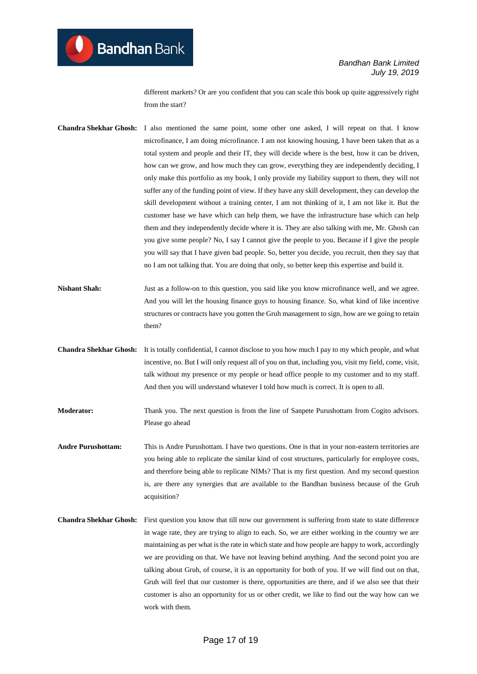different markets? Or are you confident that you can scale this book up quite aggressively right from the start?

**Chandra Shekhar Ghosh:** I also mentioned the same point, some other one asked, I will repeat on that. I know microfinance, I am doing microfinance. I am not knowing housing, I have been taken that as a total system and people and their IT, they will decide where is the best, how it can be driven, how can we grow, and how much they can grow, everything they are independently deciding, I only make this portfolio as my book, I only provide my liability support to them, they will not suffer any of the funding point of view. If they have any skill development, they can develop the skill development without a training center, I am not thinking of it, I am not like it. But the customer base we have which can help them, we have the infrastructure base which can help them and they independently decide where it is. They are also talking with me, Mr. Ghosh can you give some people? No, I say I cannot give the people to you. Because if I give the people you will say that I have given bad people. So, better you decide, you recruit, then they say that no I am not talking that. You are doing that only, so better keep this expertise and build it.

**Nishant Shah:** Just as a follow-on to this question, you said like you know microfinance well, and we agree. And you will let the housing finance guys to housing finance. So, what kind of like incentive structures or contracts have you gotten the Gruh management to sign, how are we going to retain them?

**Chandra Shekhar Ghosh:** It is totally confidential, I cannot disclose to you how much I pay to my which people, and what incentive, no. But I will only request all of you on that, including you, visit my field, come, visit, talk without my presence or my people or head office people to my customer and to my staff. And then you will understand whatever I told how much is correct. It is open to all.

**Moderator:** Thank you. The next question is from the line of Sanpete Purushottam from Cogito advisors. Please go ahead

**Andre Purushottam:** This is Andre Purushottam. I have two questions. One is that in your non-eastern territories are you being able to replicate the similar kind of cost structures, particularly for employee costs, and therefore being able to replicate NIMs? That is my first question. And my second question is, are there any synergies that are available to the Bandhan business because of the Gruh acquisition?

**Chandra Shekhar Ghosh:** First question you know that till now our government is suffering from state to state difference in wage rate, they are trying to align to each. So, we are either working in the country we are maintaining as per what is the rate in which state and how people are happy to work, accordingly we are providing on that. We have not leaving behind anything. And the second point you are talking about Gruh, of course, it is an opportunity for both of you. If we will find out on that, Gruh will feel that our customer is there, opportunities are there, and if we also see that their customer is also an opportunity for us or other credit, we like to find out the way how can we work with them.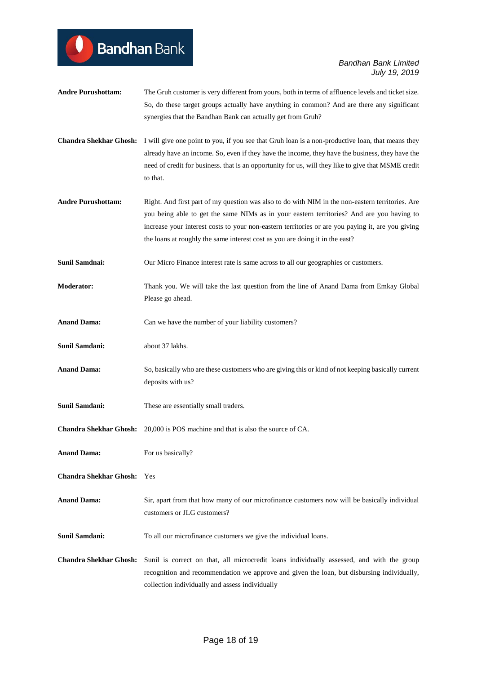- **Andre Purushottam:** The Gruh customer is very different from yours, both in terms of affluence levels and ticket size. So, do these target groups actually have anything in common? And are there any significant synergies that the Bandhan Bank can actually get from Gruh?
- **Chandra Shekhar Ghosh:** I will give one point to you, if you see that Gruh loan is a non-productive loan, that means they already have an income. So, even if they have the income, they have the business, they have the need of credit for business. that is an opportunity for us, will they like to give that MSME credit to that.
- **Andre Purushottam:** Right. And first part of my question was also to do with NIM in the non-eastern territories. Are you being able to get the same NIMs as in your eastern territories? And are you having to increase your interest costs to your non-eastern territories or are you paying it, are you giving the loans at roughly the same interest cost as you are doing it in the east?
- **Sunil Samdnai:** Our Micro Finance interest rate is same across to all our geographies or customers.
- **Moderator:** Thank you. We will take the last question from the line of Anand Dama from Emkay Global Please go ahead.
- **Anand Dama:** Can we have the number of your liability customers?
- **Sunil Samdani:** about 37 lakhs.

**Bandhan** Bank

- **Anand Dama:** So, basically who are these customers who are giving this or kind of not keeping basically current deposits with us?
- **Sunil Samdani:** These are essentially small traders.
- **Chandra Shekhar Ghosh:** 20,000 is POS machine and that is also the source of CA.
- **Anand Dama:** For us basically?
- **Chandra Shekhar Ghosh:** Yes
- **Anand Dama:** Sir, apart from that how many of our microfinance customers now will be basically individual customers or JLG customers?
- **Sunil Samdani:** To all our microfinance customers we give the individual loans.
- **Chandra Shekhar Ghosh:** Sunil is correct on that, all microcredit loans individually assessed, and with the group recognition and recommendation we approve and given the loan, but disbursing individually, collection individually and assess individually